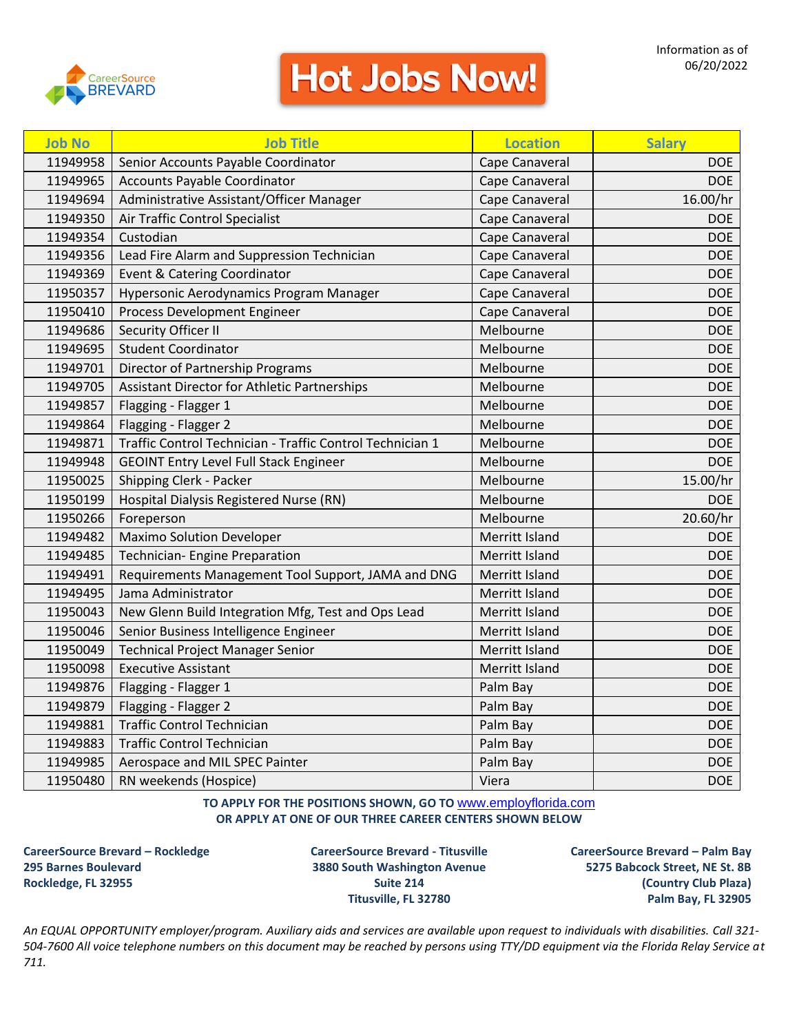

## **Hot Jobs Now!**

| <b>Job No</b> | <b>Job Title</b>                                          | <b>Location</b> | <b>Salary</b> |
|---------------|-----------------------------------------------------------|-----------------|---------------|
| 11949958      | Senior Accounts Payable Coordinator                       | Cape Canaveral  | DOE           |
| 11949965      | <b>Accounts Payable Coordinator</b>                       | Cape Canaveral  | DOE           |
| 11949694      | Administrative Assistant/Officer Manager                  | Cape Canaveral  | 16.00/hr      |
| 11949350      | Air Traffic Control Specialist                            | Cape Canaveral  | <b>DOE</b>    |
| 11949354      | Custodian                                                 | Cape Canaveral  | <b>DOE</b>    |
| 11949356      | Lead Fire Alarm and Suppression Technician                | Cape Canaveral  | <b>DOE</b>    |
| 11949369      | Event & Catering Coordinator                              | Cape Canaveral  | <b>DOE</b>    |
| 11950357      | Hypersonic Aerodynamics Program Manager                   | Cape Canaveral  | <b>DOE</b>    |
| 11950410      | Process Development Engineer                              | Cape Canaveral  | <b>DOE</b>    |
| 11949686      | Security Officer II                                       | Melbourne       | <b>DOE</b>    |
| 11949695      | <b>Student Coordinator</b>                                | Melbourne       | <b>DOE</b>    |
| 11949701      | Director of Partnership Programs                          | Melbourne       | <b>DOE</b>    |
| 11949705      | Assistant Director for Athletic Partnerships              | Melbourne       | <b>DOE</b>    |
| 11949857      | Flagging - Flagger 1                                      | Melbourne       | <b>DOE</b>    |
| 11949864      | Flagging - Flagger 2                                      | Melbourne       | <b>DOE</b>    |
| 11949871      | Traffic Control Technician - Traffic Control Technician 1 | Melbourne       | <b>DOE</b>    |
| 11949948      | <b>GEOINT Entry Level Full Stack Engineer</b>             | Melbourne       | <b>DOE</b>    |
| 11950025      | Shipping Clerk - Packer                                   | Melbourne       | 15.00/hr      |
| 11950199      | Hospital Dialysis Registered Nurse (RN)                   | Melbourne       | <b>DOE</b>    |
| 11950266      | Foreperson                                                | Melbourne       | 20.60/hr      |
| 11949482      | <b>Maximo Solution Developer</b>                          | Merritt Island  | <b>DOE</b>    |
| 11949485      | Technician- Engine Preparation                            | Merritt Island  | <b>DOE</b>    |
| 11949491      | Requirements Management Tool Support, JAMA and DNG        | Merritt Island  | <b>DOE</b>    |
| 11949495      | Jama Administrator                                        | Merritt Island  | <b>DOE</b>    |
| 11950043      | New Glenn Build Integration Mfg, Test and Ops Lead        | Merritt Island  | <b>DOE</b>    |
| 11950046      | Senior Business Intelligence Engineer                     | Merritt Island  | <b>DOE</b>    |
| 11950049      | <b>Technical Project Manager Senior</b>                   | Merritt Island  | <b>DOE</b>    |
| 11950098      | <b>Executive Assistant</b>                                | Merritt Island  | <b>DOE</b>    |
| 11949876      | Flagging - Flagger 1                                      | Palm Bay        | <b>DOE</b>    |
| 11949879      | Flagging - Flagger 2                                      | Palm Bay        | <b>DOE</b>    |
| 11949881      | <b>Traffic Control Technician</b>                         | Palm Bay        | <b>DOE</b>    |
| 11949883      | <b>Traffic Control Technician</b>                         | Palm Bay        | <b>DOE</b>    |
| 11949985      | Aerospace and MIL SPEC Painter                            | Palm Bay        | <b>DOE</b>    |
| 11950480      | RN weekends (Hospice)                                     | Viera           | <b>DOE</b>    |

## **TO APPLY FOR THE POSITIONS SHOWN, GO TO** [www.employflorida.com](http://www.employflorida.com/) **OR APPLY AT ONE OF OUR THREE CAREER CENTERS SHOWN BELOW**

**CareerSource Brevard – Rockledge CareerSource Brevard - Titusville CareerSource Brevard – Palm Bay 295 Barnes Boulevard 3880 South Washington Avenue 5275 Babcock Street, NE St. 8B Rockledge, FL 32955 Suite 214 (Country Club Plaza)**

**Titusville, FL 32780 Palm Bay, FL 32905**

*An EQUAL OPPORTUNITY employer/program. Auxiliary aids and services are available upon request to individuals with disabilities. Call 321- 504-7600 All voice telephone numbers on this document may be reached by persons using TTY/DD equipment via the Florida Relay Service at 711.*